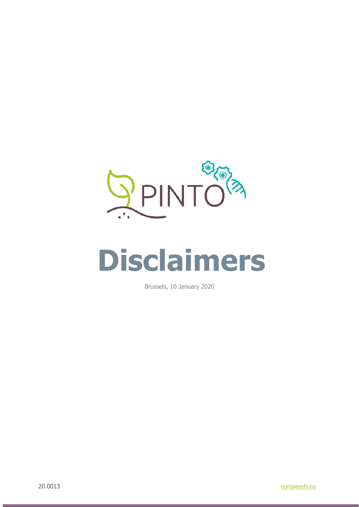

## **Disclaimers**

Brussels, 10 January 2020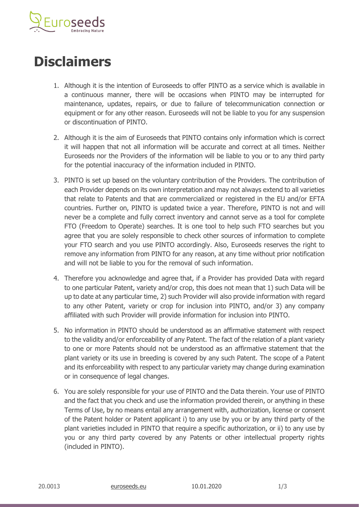

## **Disclaimers**

- 1. Although it is the intention of Euroseeds to offer PINTO as a service which is available in a continuous manner, there will be occasions when PINTO may be interrupted for maintenance, updates, repairs, or due to failure of telecommunication connection or equipment or for any other reason. Euroseeds will not be liable to you for any suspension or discontinuation of PINTO.
- 2. Although it is the aim of Euroseeds that PINTO contains only information which is correct it will happen that not all information will be accurate and correct at all times. Neither Euroseeds nor the Providers of the information will be liable to you or to any third party for the potential inaccuracy of the information included in PINTO.
- 3. PINTO is set up based on the voluntary contribution of the Providers. The contribution of each Provider depends on its own interpretation and may not always extend to all varieties that relate to Patents and that are commercialized or registered in the EU and/or EFTA countries. Further on, PINTO is updated twice a year. Therefore, PINTO is not and will never be a complete and fully correct inventory and cannot serve as a tool for complete FTO (Freedom to Operate) searches. It is one tool to help such FTO searches but you agree that you are solely responsible to check other sources of information to complete your FTO search and you use PINTO accordingly. Also, Euroseeds reserves the right to remove any information from PINTO for any reason, at any time without prior notification and will not be liable to you for the removal of such information.
- 4. Therefore you acknowledge and agree that, if a Provider has provided Data with regard to one particular Patent, variety and/or crop, this does not mean that 1) such Data will be up to date at any particular time, 2) such Provider will also provide information with regard to any other Patent, variety or crop for inclusion into PINTO, and/or 3) any company affiliated with such Provider will provide information for inclusion into PINTO.
- 5. No information in PINTO should be understood as an affirmative statement with respect to the validity and/or enforceability of any Patent. The fact of the relation of a plant variety to one or more Patents should not be understood as an affirmative statement that the plant variety or its use in breeding is covered by any such Patent. The scope of a Patent and its enforceability with respect to any particular variety may change during examination or in consequence of legal changes.
- 6. You are solely responsible for your use of PINTO and the Data therein. Your use of PINTO and the fact that you check and use the information provided therein, or anything in these Terms of Use, by no means entail any arrangement with, authorization, license or consent of the Patent holder or Patent applicant i) to any use by you or by any third party of the plant varieties included in PINTO that require a specific authorization, or ii) to any use by you or any third party covered by any Patents or other intellectual property rights (included in PINTO).